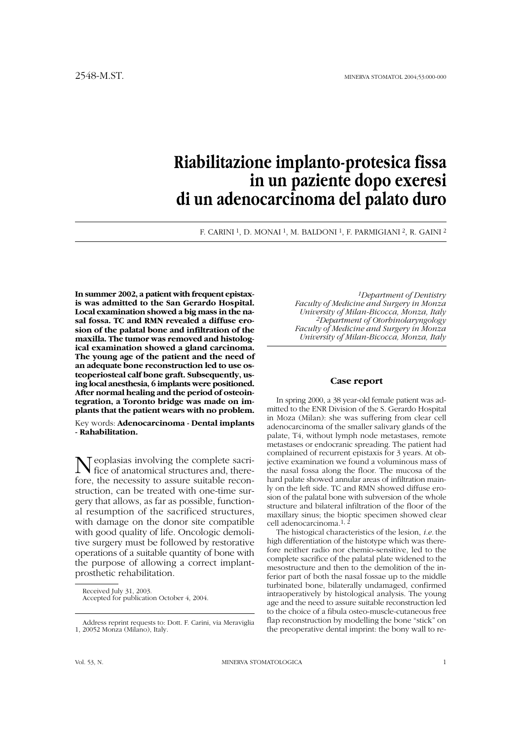# **Riabilitazione implanto-protesica fissa in un paziente dopo exeresi di un adenocarcinoma del palato duro**

F. CARINI 1, D. MONAI 1, M. BALDONI 1, F. PARMIGIANI 2, R. GAINI 2

**In summer 2002, a patient with frequent epistaxis was admitted to the San Gerardo Hospital. Local examination showed a big mass in the nasal fossa. TC and RMN revealed a diffuse erosion of the palatal bone and infiltration of the maxilla. The tumor was removed and histological examination showed a gland carcinoma. The young age of the patient and the need of an adequate bone reconstruction led to use osteoperiosteal calf bone graft. Subsequently, using local anesthesia, 6 implants were positioned. After normal healing and the period of osteointegration, a Toronto bridge was made on implants that the patient wears with no problem.**

Key words: **Adenocarcinoma - Dental implants - Rahabilitation.**

Neoplasias involving the complete sacri-fice of anatomical structures and, therefore, the necessity to assure suitable reconstruction, can be treated with one-time surgery that allows, as far as possible, functional resumption of the sacrificed structures, with damage on the donor site compatible with good quality of life. Oncologic demolitive surgery must be followed by restorative operations of a suitable quantity of bone with the purpose of allowing a correct implantprosthetic rehabilitation.

*1Department of Dentistry Faculty of Medicine and Surgery in Monza University of Milan-Bicocca, Monza, Italy 2Department of Otorhinolaryngology Faculty of Medicine and Surgery in Monza University of Milan-Bicocca, Monza, Italy*

### **Case report**

In spring 2000, a 38 year-old female patient was admitted to the ENR Division of the S. Gerardo Hospital in Moza (Milan): she was suffering from clear cell adenocarcinoma of the smaller salivary glands of the palate, T4, without lymph node metastases, remote metastases or endocranic spreading. The patient had complained of recurrent epistaxis for 3 years. At objective examination we found a voluminous mass of the nasal fossa along the floor. The mucosa of the hard palate showed annular areas of infiltration mainly on the left side. TC and RMN showed diffuse erosion of the palatal bone with subversion of the whole structure and bilateral infiltration of the floor of the maxillary sinus; the bioptic specimen showed clear cell adenocarcinoma.<sup>1, 2</sup>

The histogical characteristics of the lesion, *i.e.* the high differentiation of the histotype which was therefore neither radio nor chemio-sensitive, led to the complete sacrifice of the palatal plate widened to the mesostructure and then to the demolition of the inferior part of both the nasal fossae up to the middle turbinated bone, bilaterally undamaged, confirmed intraoperatively by histological analysis. The young age and the need to assure suitable reconstruction led to the choice of a fibula osteo-muscle-cutaneous free flap reconstruction by modelling the bone "stick" on the preoperative dental imprint: the bony wall to re-

Received July 31, 2003. Accepted for publication October 4, 2004.

Address reprint requests to: Dott. F. Carini, via Meraviglia 1, 20052 Monza (Milano), Italy.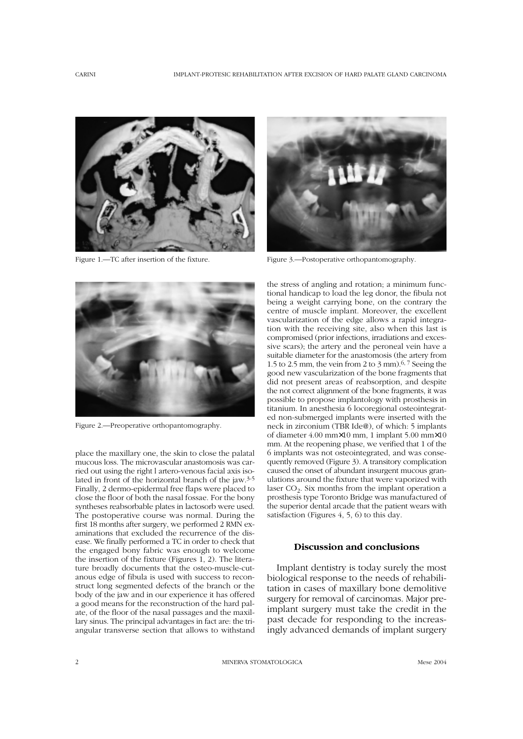

Figure 1.—TC after insertion of the fixture.



Figure 3.—Postoperative orthopantomography.



Figure 2.—Preoperative orthopantomography.

place the maxillary one, the skin to close the palatal mucous loss. The microvascular anastomosis was carried out using the right l artero-venous facial axis isolated in front of the horizontal branch of the jaw.3-5 Finally, 2 dermo-epidermal free flaps were placed to close the floor of both the nasal fossae. For the bony syntheses reabsorbable plates in lactosorb were used. The postoperative course was normal. During the first 18 months after surgery, we performed 2 RMN examinations that excluded the recurrence of the disease. We finally performed a TC in order to check that the engaged bony fabric was enough to welcome the insertion of the fixture (Figures 1, 2). The literature broadly documents that the osteo-muscle-cutanous edge of fibula is used with success to reconstruct long segmented defects of the branch or the body of the jaw and in our experience it has offered a good means for the reconstruction of the hard palate, of the floor of the nasal passages and the maxillary sinus. The principal advantages in fact are: the triangular transverse section that allows to withstand the stress of angling and rotation; a minimum functional handicap to load the leg donor, the fibula not being a weight carrying bone, on the contrary the centre of muscle implant. Moreover, the excellent vascularization of the edge allows a rapid integration with the receiving site, also when this last is compromised (prior infections, irradiations and excessive scars); the artery and the peroneal vein have a suitable diameter for the anastomosis (the artery from 1.5 to 2.5 mm, the vein from 2 to 3 mm).  $6,7$  Seeing the good new vascularization of the bone fragments that did not present areas of reabsorption, and despite the not correct alignment of the bone fragments, it was possible to propose implantology with prosthesis in titanium. In anesthesia 6 locoregional osteointegrated non-submerged implants were inserted with the neck in zirconium (TBR Ide@), of which: 5 implants of diameter 4.00 mm×10 mm, 1 implant 5.00 mm×10 mm. At the reopening phase, we verified that 1 of the 6 implants was not osteointegrated, and was consequently removed (Figure 3). A transitory complication caused the onset of abundant insurgent mucous granulations around the fixture that were vaporized with laser  $CO<sub>2</sub>$ . Six months from the implant operation a prosthesis type Toronto Bridge was manufactured of the superior dental arcade that the patient wears with satisfaction (Figures 4, 5, 6) to this day.

# **Discussion and conclusions**

Implant dentistry is today surely the most biological response to the needs of rehabilitation in cases of maxillary bone demolitive surgery for removal of carcinomas. Major preimplant surgery must take the credit in the past decade for responding to the increasingly advanced demands of implant surgery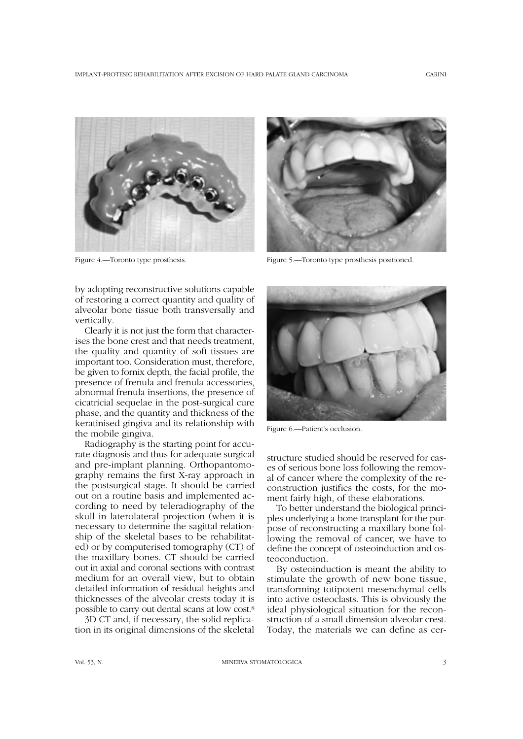

by adopting reconstructive solutions capable of restoring a correct quantity and quality of alveolar bone tissue both transversally and vertically.

Clearly it is not just the form that characterises the bone crest and that needs treatment, the quality and quantity of soft tissues are important too. Consideration must, therefore, be given to fornix depth, the facial profile, the presence of frenula and frenula accessories, abnormal frenula insertions, the presence of cicatricial sequelae in the post-surgical cure phase, and the quantity and thickness of the keratinised gingiva and its relationship with the mobile gingiva.

Radiography is the starting point for accurate diagnosis and thus for adequate surgical and pre-implant planning. Orthopantomography remains the first X-ray approach in the postsurgical stage. It should be carried out on a routine basis and implemented according to need by teleradiography of the skull in laterolateral projection (when it is necessary to determine the sagittal relationship of the skeletal bases to be rehabilitated) or by computerised tomography (CT) of the maxillary bones. CT should be carried out in axial and coronal sections with contrast medium for an overall view, but to obtain detailed information of residual heights and thicknesses of the alveolar crests today it is possible to carry out dental scans at low cost.8

3D CT and, if necessary, the solid replication in its original dimensions of the skeletal



Figure 4.—Toronto type prosthesis. Figure 5.—Toronto type prosthesis positioned.



Figure 6.—Patient's occlusion.

structure studied should be reserved for cases of serious bone loss following the removal of cancer where the complexity of the reconstruction justifies the costs, for the moment fairly high, of these elaborations.

To better understand the biological principles underlying a bone transplant for the purpose of reconstructing a maxillary bone following the removal of cancer, we have to define the concept of osteoinduction and osteoconduction.

By osteoinduction is meant the ability to stimulate the growth of new bone tissue, transforming totipotent mesenchymal cells into active osteoclasts. This is obviously the ideal physiological situation for the reconstruction of a small dimension alveolar crest. Today, the materials we can define as cer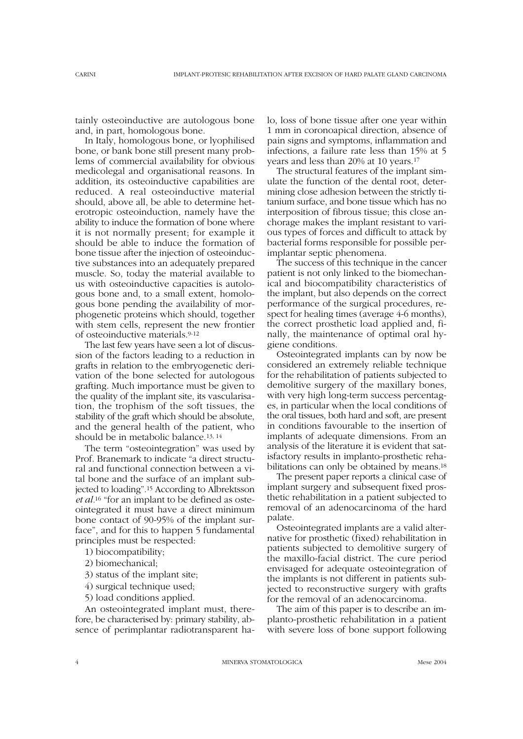tainly osteoinductive are autologous bone and, in part, homologous bone.

In Italy, homologous bone, or lyophilised bone, or bank bone still present many problems of commercial availability for obvious medicolegal and organisational reasons. In addition, its osteoinductive capabilities are reduced. A real osteoinductive material should, above all, be able to determine heterotropic osteoinduction, namely have the ability to induce the formation of bone where it is not normally present; for example it should be able to induce the formation of bone tissue after the injection of osteoinductive substances into an adequately prepared muscle. So, today the material available to us with osteoinductive capacities is autologous bone and, to a small extent, homologous bone pending the availability of morphogenetic proteins which should, together with stem cells, represent the new frontier of osteoinductive materials.9-12

The last few years have seen a lot of discussion of the factors leading to a reduction in grafts in relation to the embryogenetic derivation of the bone selected for autologous grafting. Much importance must be given to the quality of the implant site, its vascularisation, the trophism of the soft tissues, the stability of the graft which should be absolute, and the general health of the patient, who should be in metabolic balance.13, 14

The term "osteointegration" was used by Prof. Branemark to indicate "a direct structural and functional connection between a vital bone and the surface of an implant subjected to loading".15 According to Albrektsson *et al.*<sup>16</sup> "for an implant to be defined as osteointegrated it must have a direct minimum bone contact of 90-95% of the implant surface", and for this to happen 5 fundamental principles must be respected:

1) biocompatibility;

- 2) biomechanical;
- 3) status of the implant site;
- 4) surgical technique used;
- 5) load conditions applied.

An osteointegrated implant must, therefore, be characterised by: primary stability, absence of perimplantar radiotransparent halo, loss of bone tissue after one year within 1 mm in coronoapical direction, absence of pain signs and symptoms, inflammation and infections, a failure rate less than 15% at 5 years and less than 20% at 10 years.17

The structural features of the implant simulate the function of the dental root, determining close adhesion between the strictly titanium surface, and bone tissue which has no interposition of fibrous tissue; this close anchorage makes the implant resistant to various types of forces and difficult to attack by bacterial forms responsible for possible perimplantar septic phenomena.

The success of this technique in the cancer patient is not only linked to the biomechanical and biocompatibility characteristics of the implant, but also depends on the correct performance of the surgical procedures, respect for healing times (average 4-6 months), the correct prosthetic load applied and, finally, the maintenance of optimal oral hygiene conditions.

Osteointegrated implants can by now be considered an extremely reliable technique for the rehabilitation of patients subjected to demolitive surgery of the maxillary bones, with very high long-term success percentages, in particular when the local conditions of the oral tissues, both hard and soft, are present in conditions favourable to the insertion of implants of adequate dimensions. From an analysis of the literature it is evident that satisfactory results in implanto-prosthetic rehabilitations can only be obtained by means.18

The present paper reports a clinical case of implant surgery and subsequent fixed prosthetic rehabilitation in a patient subjected to removal of an adenocarcinoma of the hard palate.

Osteointegrated implants are a valid alternative for prosthetic (fixed) rehabilitation in patients subjected to demolitive surgery of the maxillo-facial district. The cure period envisaged for adequate osteointegration of the implants is not different in patients subjected to reconstructive surgery with grafts for the removal of an adenocarcinoma.

The aim of this paper is to describe an implanto-prosthetic rehabilitation in a patient with severe loss of bone support following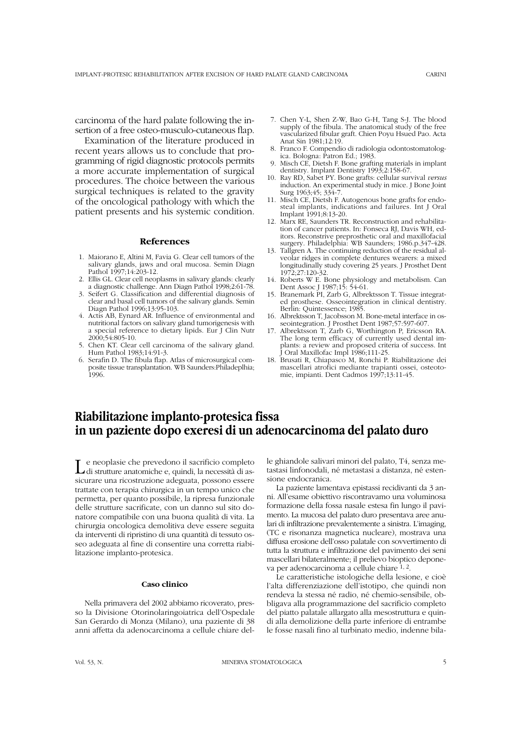carcinoma of the hard palate following the insertion of a free osteo-musculo-cutaneous flap.

Examination of the literature produced in recent years allows us to conclude that programming of rigid diagnostic protocols permits a more accurate implementation of surgical procedures. The choice between the various surgical techniques is related to the gravity of the oncological pathology with which the patient presents and his systemic condition.

### **References**

- 1. Maiorano E, Altini M, Favia G. Clear cell tumors of the salivary glands, jaws and oral mucosa. Semin Diagn Pathol 1997;14:203-12.
- 2. Ellis GL. Clear cell neoplasms in salivary glands: clearly a diagnostic challenge. Ann Diagn Pathol 1998;2:61-78.
- 3. Seifert G. Classification and differential diagnosis of clear and basal cell tumors of the salivary glands. Semin Diagn Pathol 1996;13:95-103.
- 4. Actis AB, Eynard AR. Influence of environmental and nutritional factors on salivary gland tumorigenesis with a special reference to dietary lipids. Eur J Clin Nutr 2000;54:805-10.
- 5. Chen KT. Clear cell carcinoma of the salivary gland. Hum Pathol 1983;14:91-3.
- 6. Serafin D. The fibula flap. Atlas of microsurgical composite tissue transplantation. WB Saunders:Philadeplhia; 1996.
- 7. Chen Y-L, Shen Z-W, Bao G-H, Tang S-J. The blood supply of the fibula. The anatomical study of the free vascularized fibular graft. Chien Poyu Hsued Pao. Acta Anat Sin 1981;12:19.
- 8. Franco F. Compendio di radiologia odontostomatologica. Bologna: Patron Ed.; 1983.
- 9. Misch CE, Dietsh F. Bone grafting materials in implant dentistry. Implant Dentistry 1993;2:158-67.
- 10. Ray RD, Sabet PY. Bone grafts: cellular survival *versus* induction. An experimental study in mice. J Bone Joint Surg 1963:45: 334-7.
- 11. Misch CE, Dietsh F. Autogenous bone grafts for endosteal implants, indications and failures. Int J Oral Implant 1991;8:13-20.
- 12. Marx RE, Saunders TR. Reconstruction and rehabilitation of cancer patients. In: Fonseca RJ, Davis WH, editors. Reconstrive preprosthetic oral and maxillofacial surgery. Philadelphia: WB Saunders; 1986.p.347-428.
- 13. Tallgren A. The continuing reduction of the residual alveolar ridges in complete dentures wearers: a mixed longitudinally study covering 25 years. J Prosthet Dent 1972;27:120-32.
- 14. Roberts W E. Bone physiology and metabolism. Can Dent Assoc J 1987;15: 54-61.
- 15. Branemark PI, Zarb G, Albrektsson T. Tissue integrated prosthese. Osseointegration in clinical dentistry. Berlin: Quintessence; 1985.
- 16. Albrektsson T, Jacobsson M. Bone-metal interface in osseointegration. J Prosthet Dent 1987;57:597-607.
- 17. Albrektsson T, Zarb G, Worthington P, Ericsson RA. The long term efficacy of currently used dental implants: a review and proposed criteria of success. Int J Oral Maxillofac Impl 1986;111-25.
- 18. Brusati R, Chiapasco M, Ronchi P. Riabilitazione dei mascellari atrofici mediante trapianti ossei, osteotomie, impianti. Dent Cadmos 1997;13:11-45.

# **Riabilitazione implanto-protesica fissa in un paziente dopo exeresi di un adenocarcinoma del palato duro**

L e neoplasie che prevedono il sacrificio completo di strutture anatomiche e, quindi, la necessità di assicurare una ricostruzione adeguata, possono essere trattate con terapia chirurgica in un tempo unico che permetta, per quanto possibile, la ripresa funzionale delle strutture sacrificate, con un danno sul sito donatore compatibile con una buona qualità di vita. La chirurgia oncologica demolitiva deve essere seguita da interventi di ripristino di una quantità di tessuto osseo adeguata al fine di consentire una corretta riabilitazione implanto-protesica.

## **Caso clinico**

Nella primavera del 2002 abbiamo ricoverato, presso la Divisione Otorinolaringoiatrica dell'Ospedale San Gerardo di Monza (Milano), una paziente di 38 anni affetta da adenocarcinoma a cellule chiare delle ghiandole salivari minori del palato, T4, senza metastasi linfonodali, né metastasi a distanza, né estensione endocranica.

La paziente lamentava epistassi recidivanti da 3 anni. All'esame obiettivo riscontravamo una voluminosa formazione della fossa nasale estesa fin lungo il pavimento. La mucosa del palato duro presentava aree anulari di infiltrazione prevalentemente a sinistra. L'imaging, (TC e risonanza magnetica nucleare), mostrava una diffusa erosione dell'osso palatale con sovvertimento di tutta la struttura e infiltrazione del pavimento dei seni mascellari bilateralmente; il prelievo bioptico deponeva per adenocarcinoma a cellule chiare 1, 2.

Le caratteristiche istologiche della lesione, e cioè l'alta differenziazione dell'istotipo, che quindi non rendeva la stessa né radio, né chemio-sensibile, obbligava alla programmazione del sacrificio completo del piatto palatale allargato alla mesostruttura e quindi alla demolizione della parte inferiore di entrambe le fosse nasali fino al turbinato medio, indenne bila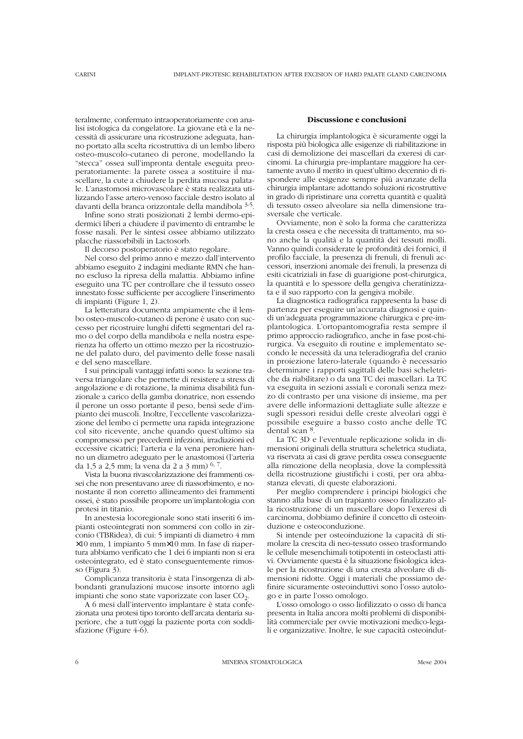teralmente, confermato intraoperatoriamente con analisi istologica da congelatore. La giovane età e la necessità di assicurare una ricostruzione adeguata, hanno portato alla scelta ricostruttiva di un lembo libero osteo-muscolo-cutaneo di perone, modellando la "stecca" ossea sull'impronta dentale eseguita preoperatoriamente: la parete ossea a sostituire il mascellare, la cute a chiudere la perdita mucosa palatale. L'anastomosi microvascolare è stata realizzata utilizzando l'asse artero-venoso facciale destro isolato al davanti della branca orizzontale della mandibola 3-5.

Infine sono strati posizionati 2 lembi dermo-epidermici liberi a chiudere il pavimento di entrambe le fosse nasali. Per le sintesi ossee abbiamo utilizzato placche riassorbibili in Lactosorb.

Il decorso postoperatorio è stato regolare.

Nel corso del primo anno e mezzo dall'intervento abbiamo eseguito 2 indagini mediante RMN che hanno escluso la ripresa della malattia. Abbiamo infine eseguito una TC per controllare che il tessuto osseo innestato fosse sufficiente per accogliere l'inserimento di impianti (Figure 1, 2).

La letteratura documenta ampiamente che il lembo osteo-muscolo-cutaneo di perone è usato con successo per ricostruire lunghi difetti segmentari del ramo o del corpo della mandibola e nella nostra esperienza ha offerto un ottimo mezzo per la ricostruzione del palato duro, del pavimento delle fosse nasali e del seno mascellare.

I sui principali vantaggi infatti sono: la sezione traversa triangolare che permette di resistere a stress di angolazione e di rotazione, la minima disabilità funzionale a carico della gamba donatrice, non essendo il perone un osso portante il peso, bensì sede d'impianto dei muscoli. Inoltre, l'eccellente vascolarizzazione del lembo ci permette una rapida integrazione col sito ricevente, anche quando quest'ultimo sia compromesso per precedenti infezioni, irradiazioni ed eccessive cicatrici; l'arteria e la vena peroniere hanno un diametro adeguato per le anastomosi (l'arteria da 1,5 a 2,5 mm; la vena da 2 a 3 mm) 6, 7.

Vista la buona rivascolarizzazione dei frammenti ossei che non presentavano aree di riassorbimento, e nonostante il non corretto allineamento dei frammenti ossei, è stato possibile proporre un'implantologia con protesi in titanio.

In anestesia locoregionale sono stati inseriti 6 impianti osteointegrati non sommersi con collo in zirconio (TBRidea), di cui: 5 impianti di diametro 4 mm ×10 mm, 1 impianto 5 mm×10 mm. In fase di riapertura abbiamo verificato che 1 dei 6 impianti non si era osteointegrato, ed è stato conseguentemente rimosso (Figura 3).

Complicanza transitoria è stata l'insorgenza di abbondanti granulazioni mucose insorte intorno agli impianti che sono state vaporizzate con laser  $CO<sub>2</sub>$ .

A 6 mesi dall'intervento implantare è stata confezionata una protesi tipo toronto dell'arcata dentaria superiore, che a tutt'oggi la paziente porta con soddisfazione (Figure 4-6).

### **Discussione e conclusioni**

La chirurgia implantologica è sicuramente oggi la risposta più biologica alle esigenze di riabilitazione in casi di demolizione dei mascellari da exeresi di carcinomi. La chirurgia pre-implantare maggiore ha certamente avuto il merito in quest'ultimo decennio di rispondere alle esigenze sempre più avanzate della chirurgia implantare adottando soluzioni ricostruttive in grado di ripristinare una corretta quantità e qualità di tessuto osseo alveolare sia nella dimensione trasversale che verticale.

Ovviamente, non è solo la forma che caratterizza la cresta ossea e che necessita di trattamento, ma sono anche la qualità e la quantità dei tessuti molli. Vanno quindi considerate le profondità dei fornici, il profilo facciale, la presenza di frenuli, di frenuli accessori, inserzioni anomale dei frenuli, la presenza di esiti cicatriziali in fase di guarigione post-chirurgica, la quantità e lo spessore della gengiva cheratinizzata e il suo rapporto con la gengiva mobile.

La diagnostica radiografica rappresenta la base di partenza per eseguire un'accurata diagnosi e quindi un'adeguata programmazione chirurgica e pre-implantologica. L'ortopantomografia resta sempre il primo approccio radiografico, anche in fase post-chirurgica. Va eseguito di routine e implementato secondo le necessità da una teleradiografia del cranio in proiezione latero-laterale (quando è necessario determinare i rapporti sagittali delle basi scheletriche da riabilitare) o da una TC dei mascellari. La TC va eseguita in sezioni assiali e coronali senza mezzo di contrasto per una visione di insieme, ma per avere delle informazioni dettagliate sulle altezze e sugli spessori residui delle creste alveolari oggi è possibile eseguire a basso costo anche delle TC dental scan 8.

La TC 3D e l'eventuale replicazione solida in dimensioni originali della struttura scheletrica studiata, va riservata ai casi di grave perdita ossea conseguente alla rimozione della neoplasia, dove la complessità della ricostruzione giustifichi i costi, per ora abbastanza elevati, di queste elaborazioni.

Per meglio comprendere i principi biologici che stanno alla base di un trapianto osseo finalizzato alla ricostruzione di un mascellare dopo l'exeresi di carcinoma, dobbiamo definire il concetto di osteoinduzione e osteoconduzione.

Si intende per osteoinduzione la capacità di stimolare la crescita di neo-tessuto osseo trasformando le cellule mesenchimali totipotenti in osteoclasti attivi. Ovviamente questa è la situazione fisiologica ideale per la ricostruzione di una cresta alveolare di dimensioni ridotte. Oggi i materiali che possiamo definire sicuramente osteoinduttivi sono l'osso autologo e in parte l'osso omologo.

L'osso omologo o osso liofilizzato o osso di banca presenta in Italia ancora molti problemi di disponibilità commerciale per ovvie motivazioni medico-legali e organizzative. Inoltre, le sue capacità osteoindut